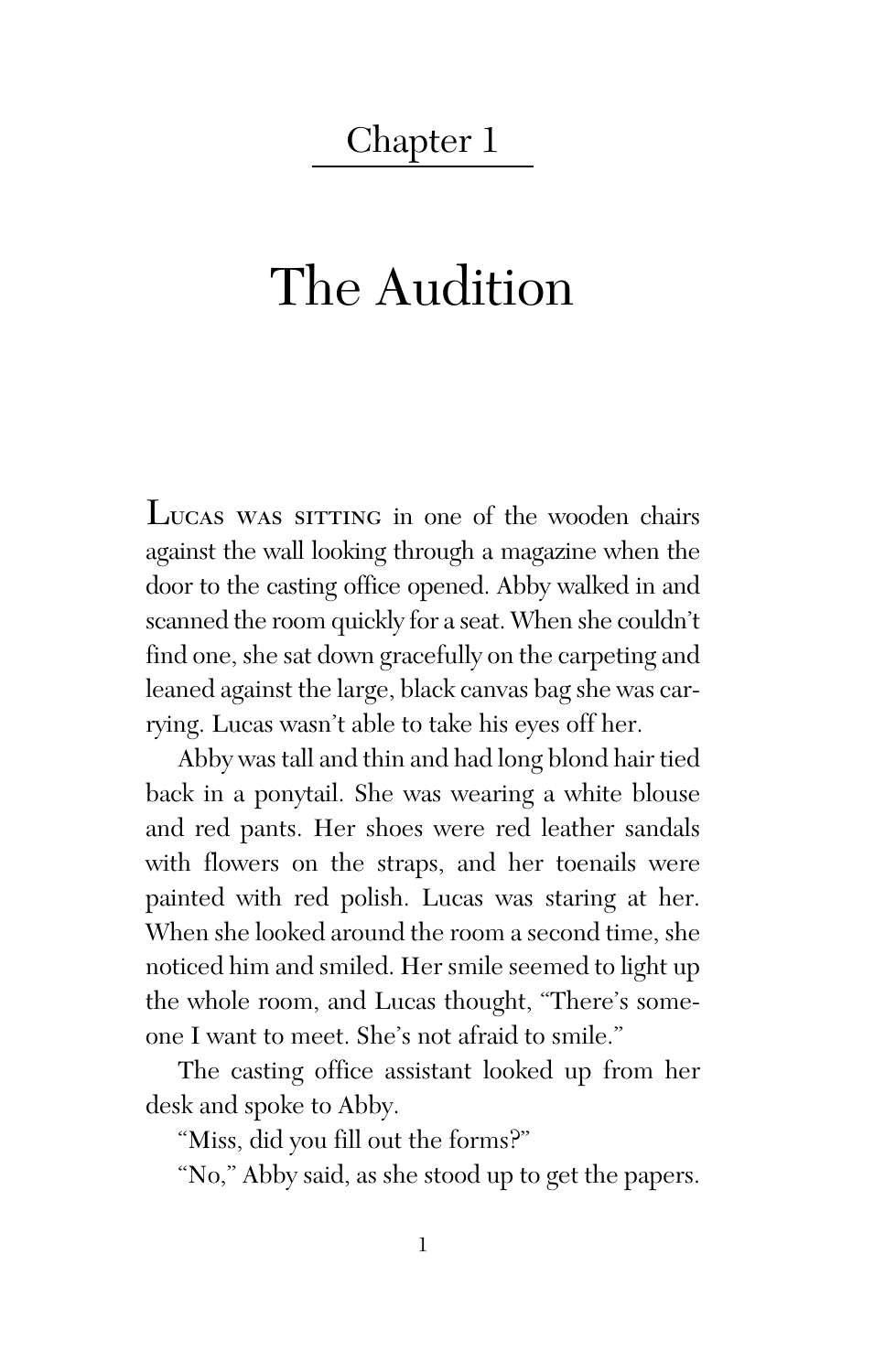## Chapter 1

## The Audition

LUCAS WAS SITTING in one of the wooden chairs against the wall looking through a magazine when the door to the casting office opened. Abby walked in and scanned the room quickly for a seat. When she couldn't find one, she sat down gracefully on the carpeting and leaned against the large, black canvas bag she was carrying. Lucas wasn't able to take his eyes off her.

Abby was tall and thin and had long blond hair tied back in a ponytail. She was wearing a white blouse and red pants. Her shoes were red leather sandals with flowers on the straps, and her toenails were painted with red polish. Lucas was staring at her. When she looked around the room a second time, she noticed him and smiled. Her smile seemed to light up the whole room, and Lucas thought, "There's someone I want to meet. She's not afraid to smile."

The casting office assistant looked up from her desk and spoke to Abby.

"Miss, did you fill out the forms?"

"No," Abby said, as she stood up to get the papers.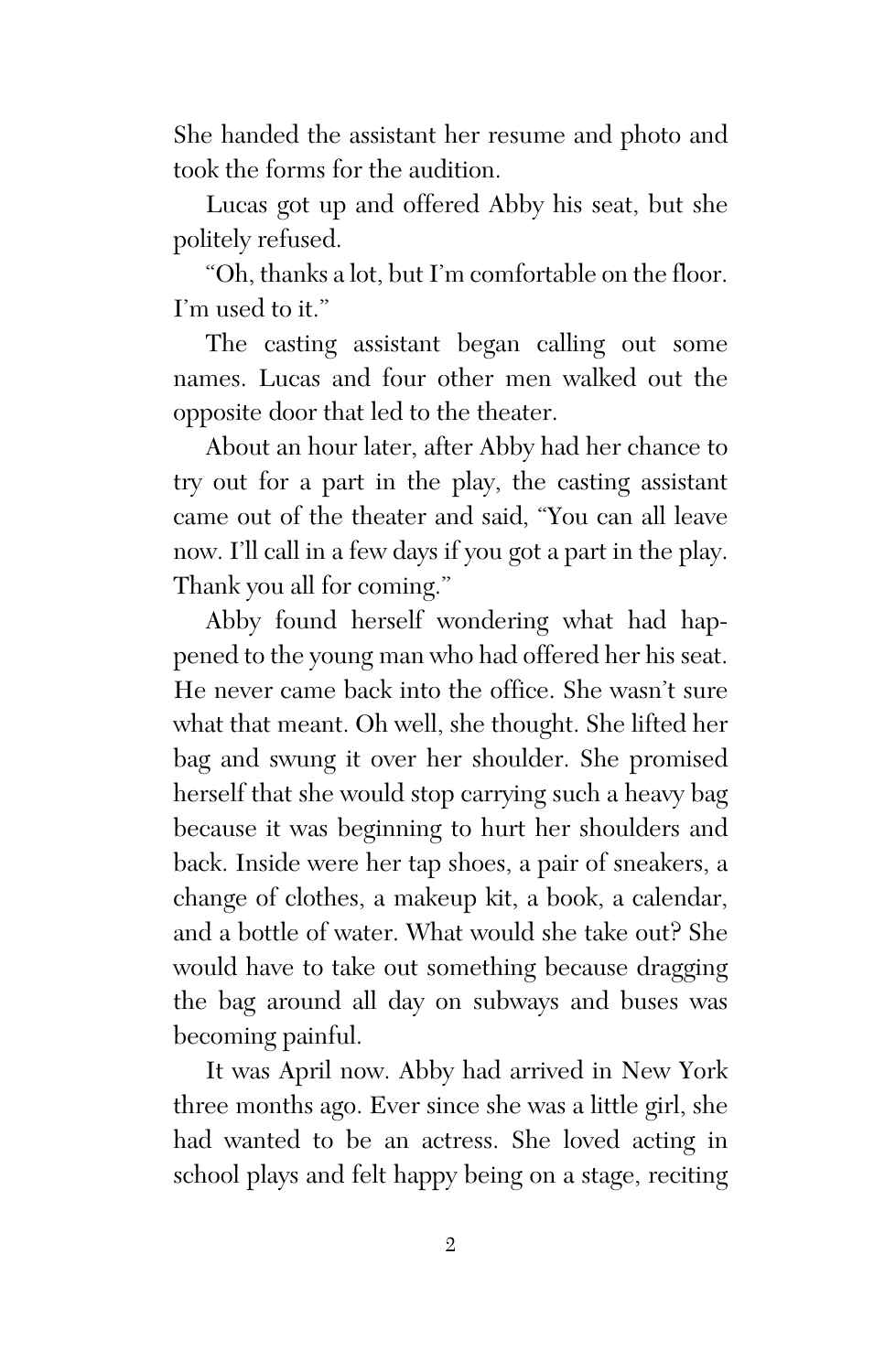She handed the assistant her resume and photo and took the forms for the audition.

Lucas got up and offered Abby his seat, but she politely refused.

"Oh, thanks a lot, but I'm comfortable on the floor. I'm used to it."

The casting assistant began calling out some names. Lucas and four other men walked out the opposite door that led to the theater.

About an hour later, after Abby had her chance to try out for a part in the play, the casting assistant came out of the theater and said, "You can all leave now. I'll call in a few days if you got a part in the play. Thank you all for coming."

Abby found herself wondering what had happened to the young man who had offered her his seat. He never came back into the office. She wasn't sure what that meant. Oh well, she thought. She lifted her bag and swung it over her shoulder. She promised herself that she would stop carrying such a heavy bag because it was beginning to hurt her shoulders and back. Inside were her tap shoes, a pair of sneakers, a change of clothes, a makeup kit, a book, a calendar, and a bottle of water. What would she take out? She would have to take out something because dragging the bag around all day on subways and buses was becoming painful.

It was April now. Abby had arrived in New York three months ago. Ever since she was a little girl, she had wanted to be an actress. She loved acting in school plays and felt happy being on a stage, reciting